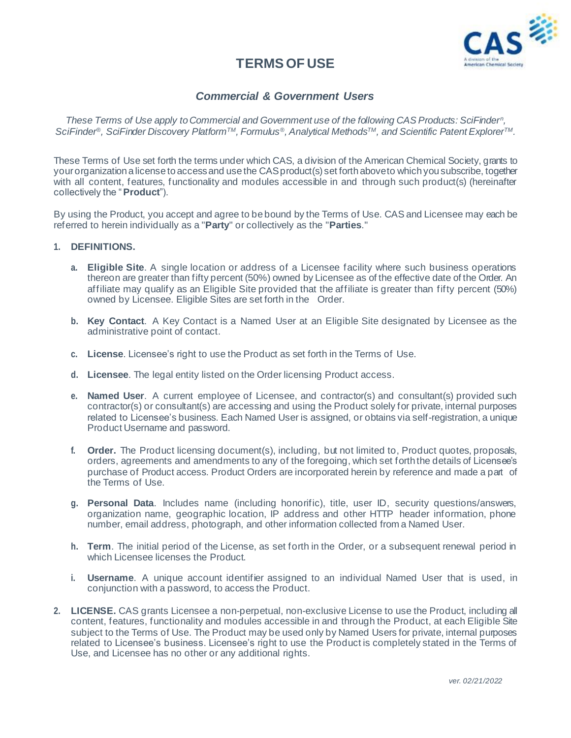

# **TERMS OF USE**

# *Commercial & Government Users*

*These Terms of Use apply to Commercial and Government use of the following CAS Products: SciFinder<sup>n</sup> , SciFinder®, SciFinder Discovery PlatformTM, Formulus®, Analytical MethodsTM, and Scientific Patent ExplorerTM.*

These Terms of Use set forth the terms under which CAS, a division of the American Chemical Society, grants to your organization a license to access and use the CAS product(s) set forth aboveto which you subscribe, together with all content, features, functionality and modules accessible in and through such product(s) (hereinafter collectively the "**Product**").

By using the Product, you accept and agree to be bound by the Terms of Use. CAS and Licensee may each be referred to herein individually as a "**Party**" or collectively as the "**Parties**."

#### **1. DEFINITIONS.**

- **a. Eligible Site**. A single location or address of a Licensee facility where such business operations thereon are greater than fifty percent (50%) owned by Licensee as of the effective date of the Order. An affiliate may qualify as an Eligible Site provided that the affiliate is greater than fifty percent (50%) owned by Licensee. Eligible Sites are set forth in the Order.
- **b. Key Contact**. A Key Contact is a Named User at an Eligible Site designated by Licensee as the administrative point of contact.
- **c. License**. Licensee's right to use the Product as set forth in the Terms of Use.
- **d. Licensee**. The legal entity listed on the Order licensing Product access.
- **e. Named User**. A current employee of Licensee, and contractor(s) and consultant(s) provided such contractor(s) or consultant(s) are accessing and using the Product solely for private, internal purposes related to Licensee's business. Each Named User is assigned, or obtains via self-registration, a unique Product Username and password.
- **f. Order.** The Product licensing document(s), including, but not limited to, Product quotes, proposals, orders, agreements and amendments to any of the foregoing, which set forth the details of Licensee's purchase of Product access. Product Orders are incorporated herein by reference and made a part of the Terms of Use.
- **g. Personal Data**. Includes name (including honorific), title, user ID, security questions/answers, organization name, geographic location, IP address and other HTTP header information, phone number, email address, photograph, and other information collected from a Named User.
- **h. Term**. The initial period of the License, as set forth in the Order, or a subsequent renewal period in which Licensee licenses the Product.
- **i. Username**. A unique account identifier assigned to an individual Named User that is used, in conjunction with a password, to access the Product.
- **2. LICENSE.** CAS grants Licensee a non-perpetual, non-exclusive License to use the Product, including all content, features, functionality and modules accessible in and through the Product, at each Eligible Site subject to the Terms of Use. The Product may be used only by Named Users for private, internal purposes related to Licensee's business. Licensee's right to use the Product is completely stated in the Terms of Use, and Licensee has no other or any additional rights.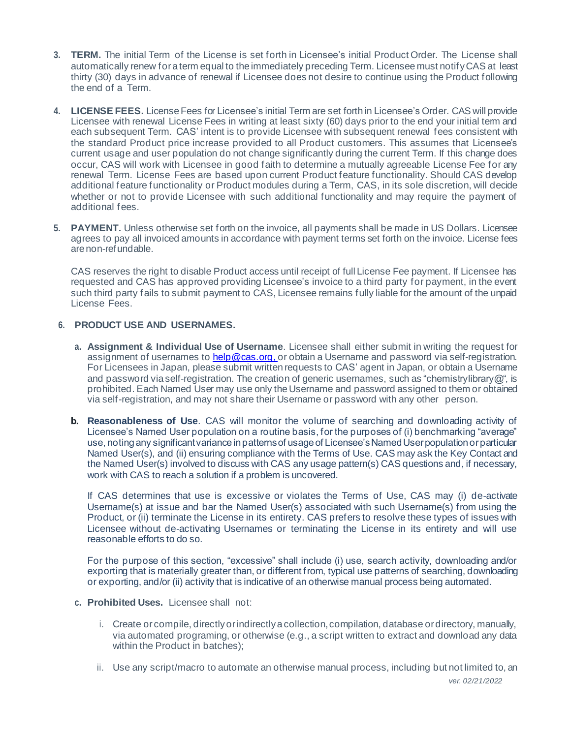- **3. TERM.** The initial Term of the License is set forth in Licensee's initial Product Order. The License shall automatically renew for a term equal to the immediately preceding Term. Licensee must notify CAS at least thirty (30) days in advance of renewal if Licensee does not desire to continue using the Product following the end of a Term.
- **4. LICENSE FEES.** License Fees for Licensee's initial Term are set forth in Licensee's Order. CAS will provide Licensee with renewal License Fees in writing at least sixty (60) days prior to the end your initial term and each subsequent Term. CAS' intent is to provide Licensee with subsequent renewal fees consistent with the standard Product price increase provided to all Product customers. This assumes that Licensee's current usage and user population do not change significantly during the current Term. If this change does occur, CAS will work with Licensee in good faith to determine a mutually agreeable License Fee for any renewal Term. License Fees are based upon current Product feature functionality. Should CAS develop additional feature functionality or Product modules during a Term, CAS, in its sole discretion, will decide whether or not to provide Licensee with such additional functionality and may require the payment of additional fees.
- **5. PAYMENT.** Unless otherwise set forth on the invoice, all payments shall be made in US Dollars. Licensee agrees to pay all invoiced amounts in accordance with payment terms set forth on the invoice. License fees arenon-refundable.

CAS reserves the right to disable Product access until receipt of full License Fee payment. If Licensee has requested and CAS has approved providing Licensee's invoice to a third party for payment, in the event such third party fails to submit payment to CAS, Licensee remains fully liable for the amount of the unpaid License Fees.

## **6. PRODUCT USE AND USERNAMES.**

- **a. Assignment & Individual Use of Username**. Licensee shall either submit in writing the request for assignment of usernames t[o help@cas.org, o](mailto:help@cas.org)r obtain a Username and password via self-registration. For Licensees in Japan, please submit written requests to CAS' agent in Japan, or obtain a Username and password via self-registration. The creation of generic usernames, such as "chemistrylibrary $@$ ", is prohibited. Each Named User may use only the Username and password assigned to them or obtained via self-registration, and may not share their Username or password with any other person.
- **Reasonableness of Use**. CAS will monitor the volume of searching and downloading activity of Licensee's Named User population on a routine basis, for the purposes of (i) benchmarking "average" use, noting any significant variance in patterns of usage of Licensee's Named User population or particular Named User(s), and (ii) ensuring compliance with the Terms of Use. CAS may ask the Key Contact and the Named User(s) involved to discuss with CAS any usage pattern(s) CAS questions and, if necessary, work with CAS to reach a solution if a problem is uncovered.

If CAS determines that use is excessive or violates the Terms of Use, CAS may (i) de-activate Username(s) at issue and bar the Named User(s) associated with such Username(s) from using the Product, or (ii) terminate the License in its entirety. CAS prefers to resolve these types of issues with Licensee without de-activating Usernames or terminating the License in its entirety and will use reasonable efforts to do so.

For the purpose of this section, "excessive" shall include (i) use, search activity, downloading and/or exporting that is materially greater than, or different from, typical use patterns of searching, downloading or exporting, and/or (ii) activity that is indicative of an otherwise manual process being automated.

- **c. Prohibited Uses.** Licensee shall not:
	- i. Create or compile, directly or indirectly a collection, compilation, database or directory, manually, via automated programing, or otherwise (e.g., a script written to extract and download any data within the Product in batches);
	- ii. Use any script/macro to automate an otherwise manual process, including but not limited to, an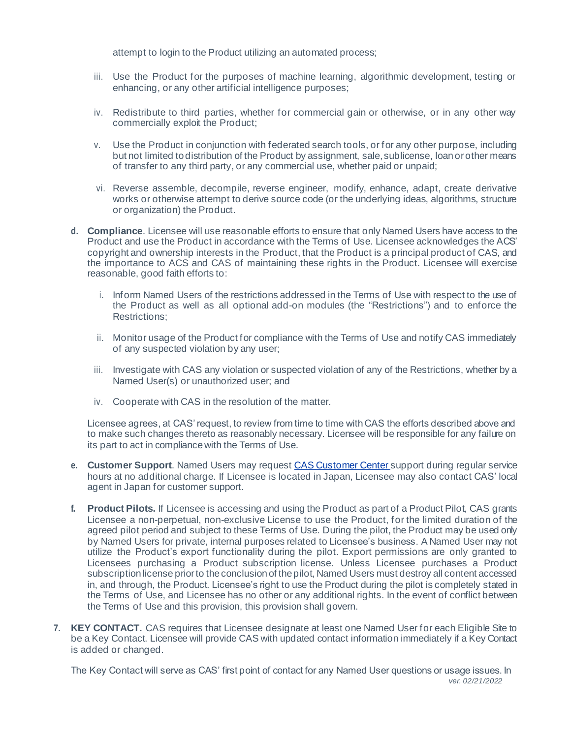attempt to login to the Product utilizing an automated process;

- iii. Use the Product for the purposes of machine learning, algorithmic development, testing or enhancing, or any other artificial intelligence purposes;
- iv. Redistribute to third parties, whether for commercial gain or otherwise, or in any other way commercially exploit the Product;
- v. Use the Product in conjunction with federated search tools, or for any other purpose, including but not limited todistribution of the Product by assignment, sale,sublicense, loan orother means of transfer to any third party, or any commercial use, whether paid or unpaid;
- vi. Reverse assemble, decompile, reverse engineer, modify, enhance, adapt, create derivative works or otherwise attempt to derive source code (or the underlying ideas, algorithms, structure or organization) the Product.
- **d. Compliance**. Licensee will use reasonable efforts to ensure that only Named Users have access to the Product and use the Product in accordance with the Terms of Use. Licensee acknowledges the ACS' copyright and ownership interests in the Product, that the Product is a principal product of CAS, and the importance to ACS and CAS of maintaining these rights in the Product. Licensee will exercise reasonable, good faith efforts to:
	- i. Inform Named Users of the restrictions addressed in the Terms of Use with respect to the use of the Product as well as all optional add-on modules (the "Restrictions") and to enforce the Restrictions;
	- ii. Monitor usage of the Product for compliance with the Terms of Use and notify CAS immediately of any suspected violation by any user;
	- iii. Investigate with CAS any violation or suspected violation of any of the Restrictions, whether by a Named User(s) or unauthorized user; and
	- iv. Cooperate with CAS in the resolution of the matter.

Licensee agrees, at CAS' request, to review from time to time with CAS the efforts described above and to make such changes thereto as reasonably necessary. Licensee will be responsible for any failure on its part to act in compliance with the Terms of Use.

- **e. Customer Support**. Named Users may request CAS [Customer](https://www.cas.org/contact) Center support during regular service hours at no additional charge. If Licensee is located in Japan, Licensee may also contact CAS' local agent in Japan for customer support.
- **f. Product Pilots.** If Licensee is accessing and using the Product as part of a Product Pilot, CAS grants Licensee a non-perpetual, non-exclusive License to use the Product, for the limited duration of the agreed pilot period and subject to these Terms of Use. During the pilot, the Product may be used only by Named Users for private, internal purposes related to Licensee's business. A Named User may not utilize the Product's export functionality during the pilot. Export permissions are only granted to Licensees purchasing a Product subscription license. Unless Licensee purchases a Product subscription license prior to the conclusion of the pilot, Named Users must destroy all content accessed in, and through, the Product. Licensee's right to use the Product during the pilot is completely stated in the Terms of Use, and Licensee has no other or any additional rights. In the event of conflict between the Terms of Use and this provision, this provision shall govern.
- **7. KEY CONTACT.** CAS requires that Licensee designate at least one Named User for each Eligible Site to be a Key Contact. Licensee will provide CAS with updated contact information immediately if a Key Contact is added or changed.

*ver. 02/21/2022* The Key Contact will serve as CAS' first point of contact for any Named User questions or usage issues. In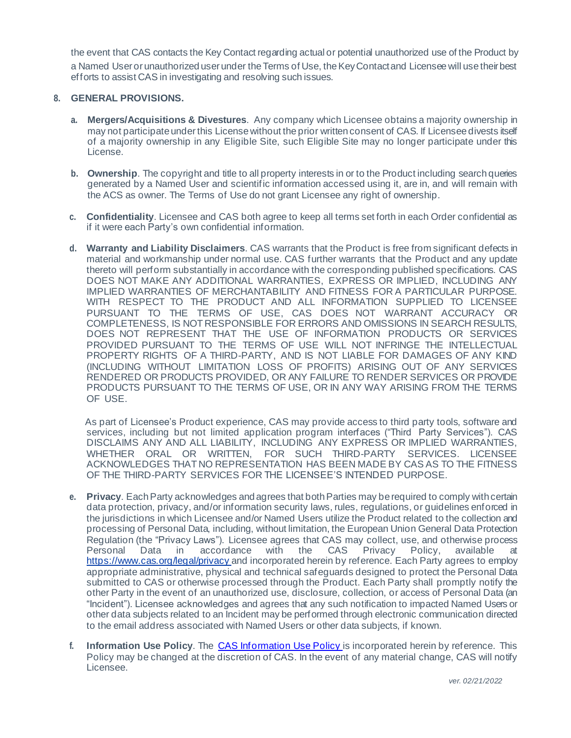the event that CAS contacts the Key Contact regarding actual or potential unauthorized use of the Product by a Named Useror unauthorized user under the Terms of Use, the Key Contact and Licensee will use their best efforts to assist CAS in investigating and resolving such issues.

### **8. GENERAL PROVISIONS.**

- **a. Mergers/Acquisitions & Divestures**. Any company which Licensee obtains a majority ownership in may not participate under this License without the prior written consent of CAS. If Licensee divests itself of a majority ownership in any Eligible Site, such Eligible Site may no longer participate under this License.
- **b. Ownership**. The copyright and title to all property interests in or to the Product including search queries generated by a Named User and scientific information accessed using it, are in, and will remain with the ACS as owner. The Terms of Use do not grant Licensee any right of ownership.
- **c. Confidentiality**. Licensee and CAS both agree to keep all terms set forth in each Order confidential as if it were each Party's own confidential information.
- **d. Warranty and Liability Disclaimers**. CAS warrants that the Product is free from significant defects in material and workmanship under normal use. CAS further warrants that the Product and any update thereto will perform substantially in accordance with the corresponding published specifications. CAS DOES NOT MAKE ANY ADDITIONAL WARRANTIES, EXPRESS OR IMPLIED, INCLUDING ANY IMPLIED WARRANTIES OF MERCHANTABILITY AND FITNESS FOR A PARTICULAR PURPOSE. WITH RESPECT TO THE PRODUCT AND ALL INFORMATION SUPPLIED TO LICENSEE PURSUANT TO THE TERMS OF USE, CAS DOES NOT WARRANT ACCURACY OR COMPLETENESS, IS NOT RESPONSIBLE FOR ERRORS AND OMISSIONS IN SEARCH RESULTS, DOES NOT REPRESENT THAT THE USE OF INFORMATION PRODUCTS OR SERVICES PROVIDED PURSUANT TO THE TERMS OF USE WILL NOT INFRINGE THE INTELLECTUAL PROPERTY RIGHTS OF A THIRD-PARTY, AND IS NOT LIABLE FOR DAMAGES OF ANY KIND (INCLUDING WITHOUT LIMITATION LOSS OF PROFITS) ARISING OUT OF ANY SERVICES RENDERED OR PRODUCTS PROVIDED, OR ANY FAILURE TO RENDER SERVICES OR PROVIDE PRODUCTS PURSUANT TO THE TERMS OF USE, OR IN ANY WAY ARISING FROM THE TERMS OF USE.

 As part of Licensee's Product experience, CAS may provide access to third party tools, software and services, including but not limited application program interfaces ("Third Party Services"). CAS DISCLAIMS ANY AND ALL LIABILITY, INCLUDING ANY EXPRESS OR IMPLIED WARRANTIES, WHETHER ORAL OR WRITTEN, FOR SUCH THIRD-PARTY SERVICES. LICENSEE ACKNOWLEDGES THAT NO REPRESENTATION HAS BEEN MADE BY CAS AS TO THE FITNESS OF THE THIRD-PARTY SERVICES FOR THE LICENSEE'S INTENDED PURPOSE.

- **e. Privacy**. Each Party acknowledges and agrees that both Parties may be required to comply with certain data protection, privacy, and/or information security laws, rules, regulations, or guidelines enforced in the jurisdictions in which Licensee and/or Named Users utilize the Product related to the collection and processing of Personal Data, including, without limitation, the European Union General Data Protection Regulation (the "Privacy Laws"). Licensee agrees that CAS may collect, use, and otherwise process Personal Data in accordance with the CAS Privacy Policy, available at [https://www.cas.org/legal/privacy a](https://www.cas.org/legal/privacy)nd incorporated herein by reference. Each Party agrees to employ appropriate administrative, physical and technical safeguards designed to protect the Personal Data submitted to CAS or otherwise processed through the Product. Each Party shall promptly notify the other Party in the event of an unauthorized use, disclosure, collection, or access of Personal Data (an "Incident"). Licensee acknowledges and agrees that any such notification to impacted Named Users or other data subjects related to an Incident may be performed through electronic communication directed to the email address associated with Named Users or other data subjects, if known.
- **f. Information Use Policy**. The CAS [Information](https://www.cas.org/sites/default/files/documents/info-use-policy.pdf) Use Policy is incorporated herein by reference. This Policy may be changed at the discretion of CAS. In the event of any material change, CAS will notify Licensee.